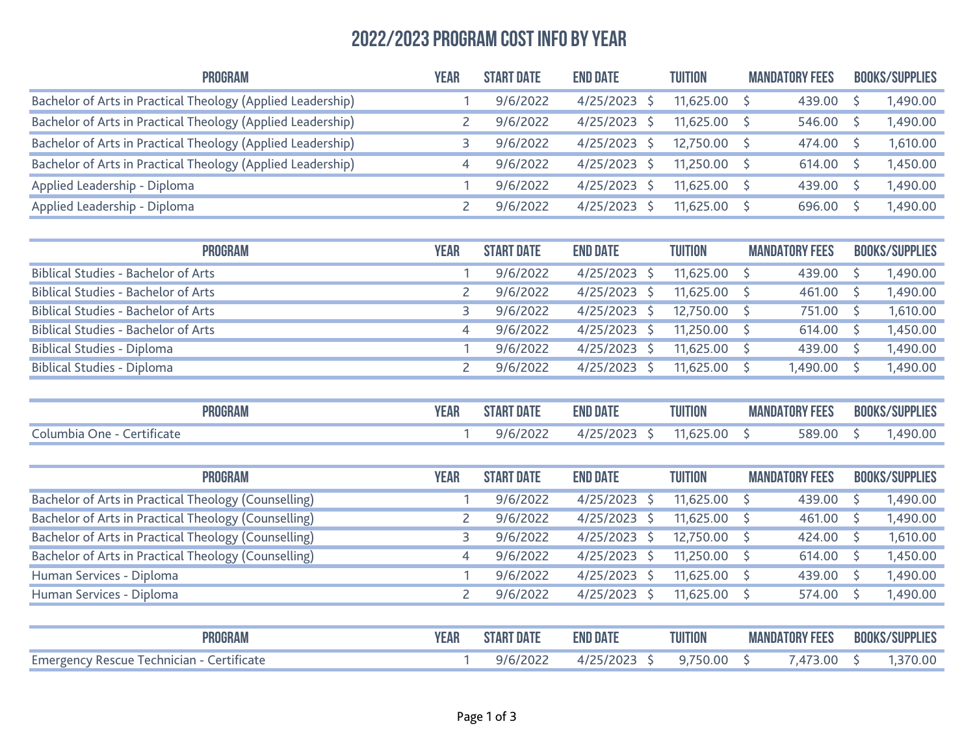## 2022/2023 Program Cost Info by Year

| <b>PROGRAM</b>                                              | YEAR | <b>START DATE</b> | <b>END DATE</b> | <b>TUITION</b> | <b>MANDATORY FEES</b> | <b>BOOKS/SUPPLIES</b> |
|-------------------------------------------------------------|------|-------------------|-----------------|----------------|-----------------------|-----------------------|
| Bachelor of Arts in Practical Theology (Applied Leadership) |      | 9/6/2022          | $4/25/2023$ \$  | $11.625.00$ \$ | 439.00                | 1,490.00              |
| Bachelor of Arts in Practical Theology (Applied Leadership) |      | 9/6/2022          | 4/25/2023       | $11,625.00$ \$ | 546.00                | 1,490.00              |
| Bachelor of Arts in Practical Theology (Applied Leadership) |      | 9/6/2022          | $4/25/2023$ \$  | 12.750.00 \$   | 474.00                | 1,610.00              |
| Bachelor of Arts in Practical Theology (Applied Leadership) |      | 9/6/2022          | $4/25/2023$ \$  | $11,250.00$ \$ | 614.00                | 1,450.00              |
| Applied Leadership - Diploma                                |      | 9/6/2022          | $4/25/2023$ \$  | $11.625.00$ \$ | 439.00                | 1,490.00              |
| Applied Leadership - Diploma                                |      | 9/6/2022          | 4/25/2023       | $11,625.00$ \$ | 696.00                | 1,490.00              |

| <b>PROGRAM</b>                             | YEAR | <b>START DATE</b> | <b>END DATE</b> | <b>TUITION</b> | <b>MANDATORY FEES</b> | <b>BOOKS/SUPPLIES</b> |
|--------------------------------------------|------|-------------------|-----------------|----------------|-----------------------|-----------------------|
| <b>Biblical Studies - Bachelor of Arts</b> |      | 9/6/2022          | $4/25/2023$ \$  | $11,625.00$ \$ | $439.00$ \$           | 1,490.00              |
| <b>Biblical Studies - Bachelor of Arts</b> |      | 9/6/2022          | 4/25/2023 \$    | $11,625.00$ \$ | 461.00                | 1,490.00              |
| <b>Biblical Studies - Bachelor of Arts</b> |      | 9/6/2022          | 4/25/2023 \$    | $12,750.00$ \$ | 751.00                | 1,610.00              |
| <b>Biblical Studies - Bachelor of Arts</b> | 4    | 9/6/2022          | 4/25/2023 \$    | $11,250.00$ \$ | 614.00                | 1,450.00              |
| <b>Biblical Studies - Diploma</b>          |      | 9/6/2022          | 4/25/2023 \$    | $11,625.00$ \$ | $439.00$ \$           | 1,490.00              |
| <b>Biblical Studies - Diploma</b>          |      | 9/6/2022          | 4/25/2023 \$    | $11,625.00$ \$ | 1,490.00              | 1,490.00              |

| <b>PROGRAN</b>               | eak | T DAT.<br>,TART | <b>END DATE</b> | <b>TUITION</b> | <b>MANDATORY FEES</b> | <b>BOOKS/SUPPLIES</b> |
|------------------------------|-----|-----------------|-----------------|----------------|-----------------------|-----------------------|
| Columbia One -<br>ertificate |     | 9/6/2022        | /2023           |                | 589.00                | ⊿ u<br>ט.טע           |

| <b>PROGRAM</b>                                       | YEAR | <b>START DATE</b> | <b>END DATE</b> | <b>TUITION</b> | <b>MANDATORY FEES</b> | <b>BOOKS/SUPPLIES</b> |
|------------------------------------------------------|------|-------------------|-----------------|----------------|-----------------------|-----------------------|
| Bachelor of Arts in Practical Theology (Counselling) |      | 9/6/2022          | 4/25/2023       | $11,625.00$ \$ | 439.00                | 1,490.00              |
| Bachelor of Arts in Practical Theology (Counselling) |      | 9/6/2022          | 4/25/2023       | $11,625.00$ \$ | 461.00                | 1,490.00              |
| Bachelor of Arts in Practical Theology (Counselling) |      | 9/6/2022          | $4/25/2023$ \$  | 12,750.00 \$   | $424.00$ \$           | 1,610.00              |
| Bachelor of Arts in Practical Theology (Counselling) | 4    | 9/6/2022          | $4/25/2023$ \$  | $11,250.00$ \$ | $614.00$ \$           | 1,450.00              |
| Human Services - Diploma                             |      | 9/6/2022          | 4/25/2023       | $11.625.00$ \$ | 439.00                | 1,490.00              |
| Human Services - Diploma                             |      | 9/6/2022          | 4/25/2023       | $11,625.00$ \$ | 574.00                | 1,490.00              |

| <b>PROGRAM</b>                                   | <b>EAR</b> | <b>START DATE</b> | <b>END DATE</b> | <b>TUITION</b> | <b>MANDATORY FEES</b> | <b>BOOKS/SUPPLIES</b> |
|--------------------------------------------------|------------|-------------------|-----------------|----------------|-----------------------|-----------------------|
| <b>Emergency Rescue Technician - Certificate</b> |            | 9/6/2022          | 4/25/2023 \$    | 9.750.00 S     | ,473.00               | 1.370.00              |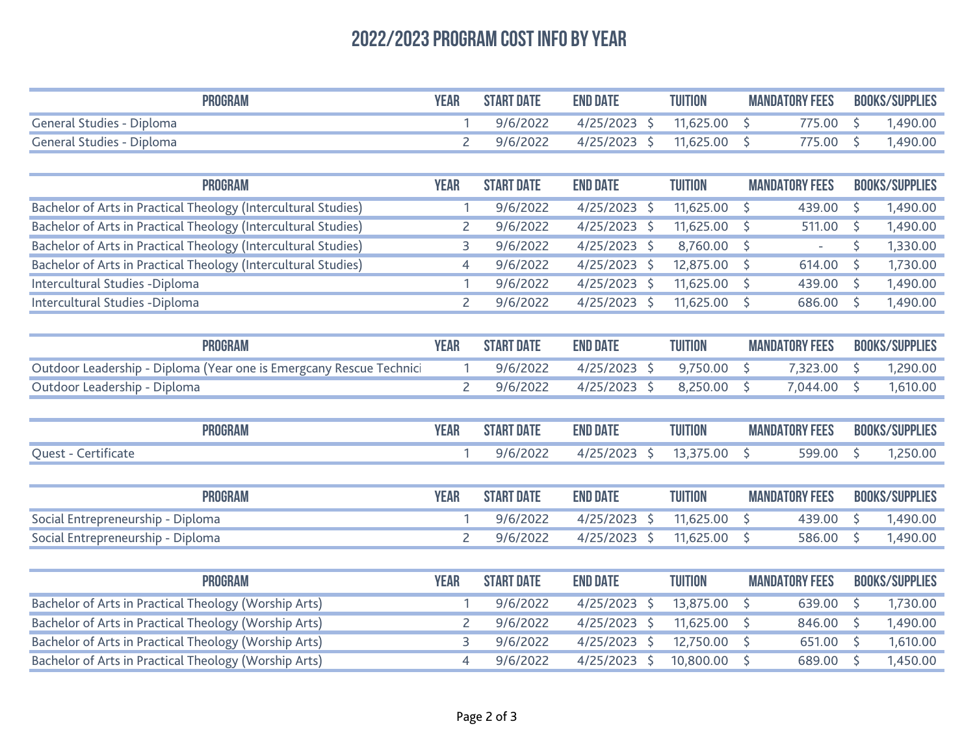## 2022/2023 Program Cost Info by Year

| <b>PROGRAM</b>            | YEAR | <b>START DATE</b> | <b>END DATE</b> | TUITION<br><b>MANDATORY FEES</b> |          | <b>BOOKS/SUPPLIES</b> |
|---------------------------|------|-------------------|-----------------|----------------------------------|----------|-----------------------|
| General Studies - Diploma |      | 9/6/2022          | $4/25/2023$ \$  | 11.625.00                        | 775.00 9 | 1.490.00              |
| General Studies - Diploma |      | 9/6/2022          | 4/25/2023       | 11.625.00                        | 775.00   | ,490.00               |

| <b>PROGRAM</b>                                                 | YEAR | <b>START DATE</b> | <b>END DATE</b> | <b>TUITION</b> | <b>MANDATORY FEES</b> |        | <b>BOOKS/SUPPLIES</b> |
|----------------------------------------------------------------|------|-------------------|-----------------|----------------|-----------------------|--------|-----------------------|
| Bachelor of Arts in Practical Theology (Intercultural Studies) |      | 9/6/2022          | 4/25/2023       | $11,625.00$ \$ |                       | 439.00 | 1,490.00              |
| Bachelor of Arts in Practical Theology (Intercultural Studies) |      | 9/6/2022          | 4/25/2023       | $11,625.00$ \$ |                       | 511.00 | 1,490.00              |
| Bachelor of Arts in Practical Theology (Intercultural Studies) |      | 9/6/2022          | $4/25/2023$ \$  | $8,760.00$ \$  |                       | $\sim$ | 1,330.00              |
| Bachelor of Arts in Practical Theology (Intercultural Studies) | 4    | 9/6/2022          | 4/25/2023       | 12,875.00 \$   |                       | 614.00 | 1,730.00              |
| Intercultural Studies - Diploma                                |      | 9/6/2022          | 4/25/2023       | $11,625.00$ \$ |                       | 439.00 | 1,490.00              |
| Intercultural Studies - Diploma                                |      | 9/6/2022          | 4/25/2023       | $11,625.00$ \$ |                       | 686.00 | 1,490.00              |

| PROGRAM                                                             |  | <b>START DATE</b> | <b>END DATE</b> | <b>TUITION</b>           | <b>MANDATORY FEES</b> | <b>BOOKS/SUPPLIES</b> |
|---------------------------------------------------------------------|--|-------------------|-----------------|--------------------------|-----------------------|-----------------------|
| Outdoor Leadership - Diploma (Year one is Emergcany Rescue Technici |  | 9/6/2022          |                 | 4/25/2023 \$ 9,750.00 \$ | 7,323.00 \$           | 1,290.00              |
| Outdoor Leadership - Diploma                                        |  | 9/6/2022          |                 | 4/25/2023 \$ 8.250.00 \$ | 7.044.00 \$           | 1,610.00              |

|                            | <b>PROGRAM</b> | <b>YEAR</b> |                   | <b>END DATE</b> | <b>TUITION</b><br><b>MANDATORY FEES</b> |                       |                       |  |  |  | <b>BOOKS/SUPPLIES</b> |
|----------------------------|----------------|-------------|-------------------|-----------------|-----------------------------------------|-----------------------|-----------------------|--|--|--|-----------------------|
| <b>Ouest - Certificate</b> |                |             | 9/6/2022          | 4/25/2023       | 13.375.00                               | 599.00                | 250.00                |  |  |  |                       |
|                            |                |             |                   |                 |                                         |                       |                       |  |  |  |                       |
|                            | <b>PROGRAM</b> | YEAR        | <b>START DATE</b> | <b>END DATE</b> | <b>TUITION</b>                          | <b>MANDATORY FEES</b> | <b>BOOKS/SUPPLIES</b> |  |  |  |                       |

| Social Entrepreneurship - Diploma |  | 1 9/6/2022 4/25/2023 \$ 11,625.00 \$ |  |                    | 439.00 \$ 1,490.00 |
|-----------------------------------|--|--------------------------------------|--|--------------------|--------------------|
| Social Entrepreneurship - Diploma |  | 2 9/6/2022 4/25/2023 \$ 11,625.00 \$ |  | 586.00 \$ 1,490.00 |                    |

| <b>PROGRAM</b>                                        | YEAR | <b>START DATE</b> | <b>END DATE</b> | TUITION        | <b>MANDATORY FEES</b> |             | <b>BOOKS/SUPPLIES</b> |
|-------------------------------------------------------|------|-------------------|-----------------|----------------|-----------------------|-------------|-----------------------|
| Bachelor of Arts in Practical Theology (Worship Arts) |      | 9/6/2022          | 4/25/2023 \$    | 13,875.00 \$   |                       | 639.00 $'$  | 1,730.00              |
| Bachelor of Arts in Practical Theology (Worship Arts) |      | 9/6/2022          | 4/25/2023       | $11,625.00$ \$ |                       | $846.00$ \$ | 1,490.00              |
| Bachelor of Arts in Practical Theology (Worship Arts) |      | 9/6/2022          | 4/25/2023       | 12,750.00 \$   |                       | $651.00$ \$ | 1,610.00              |
| Bachelor of Arts in Practical Theology (Worship Arts) |      | 9/6/2022          | 4/25/2023       | $10,800.00$ \$ |                       | 689.00 \$   | 1,450.00              |